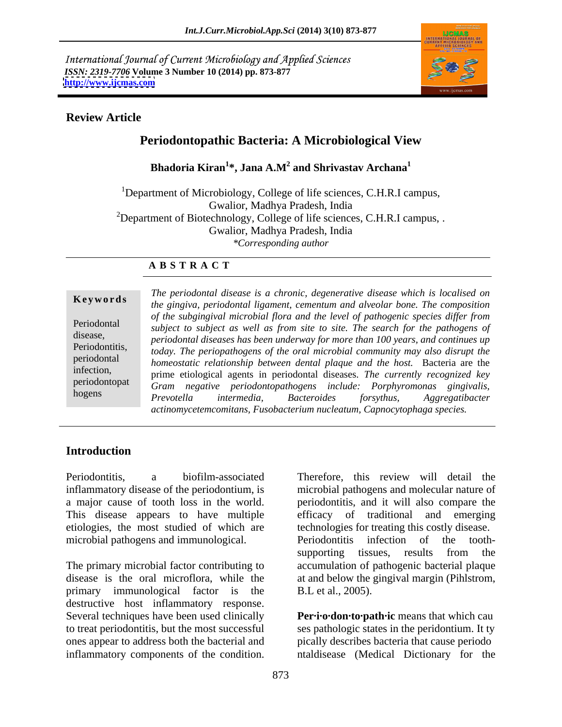International Journal of Current Microbiology and Applied Sciences *ISSN: 2319-7706* **Volume 3 Number 10 (2014) pp. 873-877 <http://www.ijcmas.com>**



## **Review Article**

# **Periodontopathic Bacteria: A Microbiological View**

Bhadoria Kiran $^{1*}$ , Jana A.M $^{2}$  and Shrivastav Archana $^{1}$ **and Shrivastav Archana<sup>1</sup>**

<sup>1</sup>Department of Microbiology, College of life sciences, C.H.R.I campus, Gwalior, Madhya Pradesh, India <sup>2</sup>Department of Biotechnology, College of life sciences, C.H.R.I campus, . Gwalior, Madhya Pradesh, India *\*Corresponding author* 

### **A B S T R A C T**

**Ke ywo rds** *the gingiva, periodontal ligament, cementum and alveolar bone. The composition* Periodontal *subject to subject as well as from site to site. The search for thepathogens of* disease,<br> *periodontal diseases has been underway for more than 100 years, and continues up* Periodontitis, *today. The periopathogens of the oral microbial community may also disrupt the* periodontal *homeostatic relationship between dental plaque and the host.* Bacteria are the infection, prime etiological agents in periodontal diseases. *The currently recognized key* periodontopat *Gram negative periodontopathogens include: Porphyromonas gingivalis,* hogens *Drawotalla* intermedia Racteroides formula Agaragatibacter *The periodontal disease is a chronic, degenerative disease which is localised on of the subgingival microbial flora and the level of pathogenic species dif er from Prevotella intermedia, Bacteroides forsythus, Aggregatibacter actinomycetemcomitans, Fusobacterium nucleatum, Capnocytophaga species.*

## **Introduction**

inflammatory disease of the periodontium, is microbial pathogens and molecular nature of a major cause of tooth loss in the world. periodontitis, and it will also compare the This disease appears to have multiple efficacy of traditional and emerging etiologies, the most studied of which are microbial pathogens and immunological. Periodontitis infection of the tooth-

The primary microbial factor contributing to accumulation of pathogenic bacterial plaque disease is the oral microflora, while the at and below the gingival margin (Pihlstrom, primary immunological factor is the destructive host inflammatory response. Several techniques have been used clinically to treat periodontitis, but the most successful ones appear to address both the bacterial and

Periodontitis, a biofilm-associated Therefore, this review will detail the Periodontitis, a biofilm-associated Therefore, this review will detail the inflammatory disease of the periodontium, is microbial pathogens and molecular nature of a major cause of tooth loss in the world. This disease app technologies for treating this costly disease. Periodontitis infection of the tooth supporting tissues, results from the B.L et al., 2005).

Per·i·o·don·to·path·ic means that which cau ses pathologic states in the peridontium. It ty pically describes bacteria that cause periodo ntaldisease (Medical Dictionary for the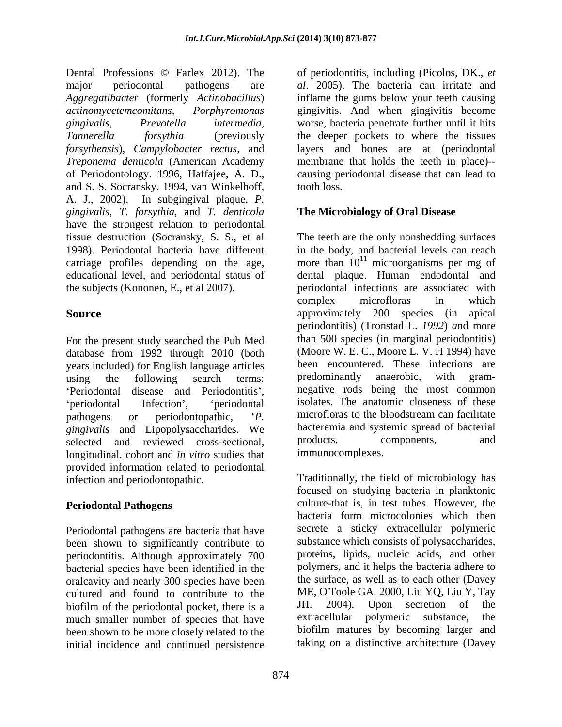of Periodontology. 1996, Haffajee, A. D., and S. S. Socransky. 1994, van Winkelhoff, A. J., 2002). In subgingival plaque, *P. gingivalis*, *T. forsythia*, and *T. denticola* have the strongest relation to periodontal

For the present study searched the Pub Med database from 1992 through 2010 (both years included) for English language articles been encountered. These infections are using the following search terms: predominantly anaerobic, with gram-'Periodontal disease and Periodontitis', pathogens or periodontopathic, *P.* microfloras to the bloodstream can facilitate *gingivalis* and Lipopolysaccharides. We bacteremia and systemic spread of bacterial selected and reviewed cross-sectional products, components, and selected and reviewed cross-sectional, longitudinal, cohort and *in vitro* studies that provided information related to periodontal infection and periodontopathic. Traditionally, the field of microbiology has

Periodontal pathogens are bacteria that have been shown to significantly contribute to periodontitis. Although approximately 700 bacterial species have been identified in the oralcavity and nearly 300 species have been cultured and found to contribute to the ME, O'Toole GA. 2000, Liu YQ, Liu Y, Tay<br>biofilm of the periodontal pocket there is a JH. 2004). Upon secretion of the biofilm of the periodontal pocket, there is a<br>much smaller number of species that have extracellular polymeric substance, the much smaller number of species that have been shown to be more closely related to the initial incidence and continued persistence

Dental Professions © Farlex 2012). The of periodontitis, including (Picolos, DK., *et*  major periodontal pathogens are *al*. 2005). The bacteria can irritate and *Aggregatibacter* (formerly *Actinobacillus*) inflame the gums below your teeth causing *actinomycetemcomitans*, *Porphyromonas* gingivitis. And when gingivitis become *gingivalis*, *Prevotella intermedia*, worse, bacteria penetrate further until it hits *Tannerella forsythia* (previously the deeper pockets to where the tissues *forsythensis*), *Campylobacter rectus*, and layers and bones are at (periodontal *Treponema denticola* (American Academy membrane that holds the teeth in place)- causing periodontal disease that can lead to tooth loss.

# **The Microbiology of Oral Disease**

tissue destruction (Socransky, S. S., et al The teeth are the only nonshedding surfaces 1998). Periodontal bacteria have different in the body, and bacterial levels can reach carriage profiles depending on the age, more than  $10^{11}$  microorganisms per mg of educational level, and periodontal status of dental plaque. Human endodontal and the subjects (Kononen, E., et al 2007). periodontal infections are associated with **Source** approximately 200 species (in apical using the following search terms: predominantly anaerobic, with gramperiodontal Infection', 'periodontal isolates. The anatomic closeness of these complex microfloras in which periodontitis) (Tronstad L. *1992*) *a*nd more than 500 species (in marginal periodontitis) (Moore W. E. C., Moore L. V. H 1994) have been encountered. These infections are predominantly anaerobic, with gram negative rods being the most common microfloras to the bloodstream can facilitate bacteremia and systemic spread of bacterial products, components, and immunocomplexes.

**Periodontal Pathogens** culture-that is, in test tubes. However, the focused on studying bacteria in planktonic bacteria form microcolonies which then secrete a sticky extracellular polymeric substance which consists of polysaccharides, proteins, lipids, nucleic acids, and other polymers, and it helps the bacteria adhere to the surface, as well as to each other (Davey ME, O'Toole GA. 2000, Liu YQ, Liu Y, Tay JH. 2004). Upon secretion of the extracellular polymeric substance, the biofilm matures by becoming larger and taking on a distinctive architecture (Davey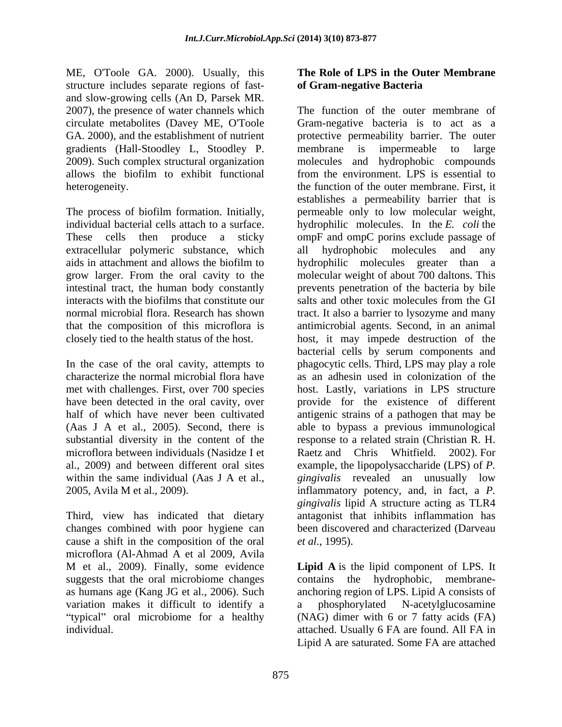ME, O'Toole GA. 2000). Usually, this structure includes separate regions of fast-<br>of Gram-negative Bacteria and slow-growing cells (An D, Parsek MR. gradients (Hall-Stoodley L, Stoodley P.

The process of biofilm formation. Initially, extracellular polymeric substance, which aids in attachment and allows the biofilm to bydrophilic molecules greater than a grow larger. From the oral cavity to the

microflora between individuals (Nasidze I et Raetz and Chris Whitfield. 2002). For

Third, view has indicated that dietary changes combined with poor hygiene can cause a shift in the composition of the oral *et al.*, 1995). microflora (Al-Ahmad A et al 2009, Avila variation makes it difficult to identify a a phosphorylated N-acetylglucosamine

## **The Role of LPS in the Outer Membrane of Gram-negative Bacteria**

2007), the presence of water channels which The function of the outer membrane of circulate metabolites (Davey ME, O'Toole Gram-negative bacteria is to act as a GA. 2000), and the establishment of nutrient protective permeability barrier. The outer 2009). Such complex structural organization molecules and hydrophobic compounds allows the biofilm to exhibit functional from the environment. LPS is essential to heterogeneity. The function of the outer membrane. First, it individual bacterial cells attach to a surface. hydrophilic molecules. In the *E. coli* the These cells then produce a sticky ompF and ompC porins exclude passage of intestinal tract, the human body constantly prevents penetration of the bacteria by bile interacts with the biofilms that constitute our salts and other toxic molecules from the GI normal microbial flora. Research has shown tract. It also a barrier to lysozyme and many that the composition of this microflora is antimicrobial agents. Second, in an animal closely tied to the health status of the host. host, it may impede destruction of the In the case of the oral cavity, attempts to phagocytic cells. Third, LPS may play a role characterize the normal microbial flora have as an adhesin used in colonization of the met with challenges. First, over 700 species host. Lastly, variations in LPS structure have been detected in the oral cavity, over provide for the existence of different half of which have never been cultivated antigenic strains of a pathogen that may be (Aas J A et al., 2005). Second, there is able to bypass a previous immunological substantial diversity in the content of the response to a related strain (Christian R. H. al., 2009) and between different oral sites example, the lipopolysaccharide (LPS) of *P.* within the same individual (Aas J A et al., *gingivalis* revealed an unusually low 2005, Avila M et al., 2009). inflammatory potency, and, in fact, a *P.* membrane is impermeable to large establishes a permeability barrier that is permeable only to low molecular weight, hydrophobic molecules and hydrophilic molecules greater than molecular weight of about 700 daltons. This bacterial cells by serum components and Raetz and Chris Whitfield. *gingivalis* lipid A structure acting as TLR4 antagonist that inhibits inflammation has been discovered and characterized (Darveau *et al*., 1995).

M et al., 2009). Finally, some evidence **Lipid A** is the lipid component of LPS. It suggests that the oral microbiome changes contains the hydrophobic, membrane as humans age (Kang JG et al., 2006). Such anchoring region of LPS. Lipid A consists of typical" oral microbiome for a healthy (NAG) dimer with 6 or 7 fatty acids (FA) individual. attached. Usually 6 FA are found. All FA in a phosphorylated N-acetylglucosamine Lipid A are saturated. Some FA are attached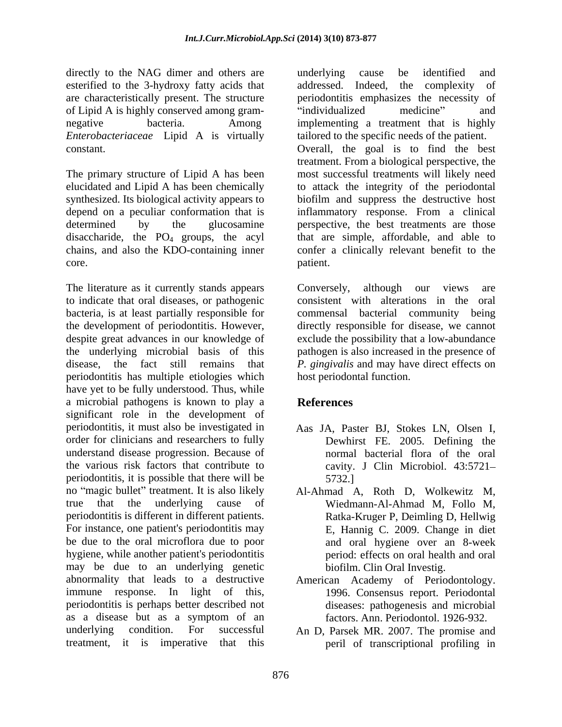directly to the NAG dimer and others are all underlying cause be identified and esterified to the 3-hydroxy fatty acids that addressed. Indeed, the complexity of are characteristically present. The structure of Lipid A is highly conserved among gram- *Enterobacteriaceae* Lipid A is virtually

disaccharide, the  $PO_4$  groups, the acyl chains, and also the KDO-containing inner

The literature as it currently stands appears Conversely, although our views are to indicate that oral diseases, or pathogenic consistent with alterations in the oral bacteria, is at least partially responsible for commensal bacterial community being the development of periodontitis. However, directly responsible for disease, we cannot despite great advances in our knowledge of exclude the possibility that a low-abundance the underlying microbial basis of this pathogen is also increased in the presence of disease, the fact still remains that *P. gingivalis* and may have direct effects on periodontitis has multiple etiologies which have yet to be fully understood. Thus, while a microbial pathogens is known to play a significant role in the development of periodontitis, it must also be investigated in order for clinicians and researchers to fully understand disease progression. Because of normal bacterial flora of the oral the various risk factors that contribute to cavity. J Clin Microbiol. 43:5721 periodontitis, it is possible that there will be  $5732.1$ no "magic bullet" treatment. It is also likely true that the underlying cause of Wiedmann-Al-Ahmad M, Follo M, periodontitis is different in different patients. For instance, one patient's periodontitis may be due to the oral microflora due to poor hygiene, while another patient's periodontitis may be due to an underlying genetic<br>abnormality that leads to a destructive abnormality that leads to a destructive American Academy of Periodontology. immune response. In light of this, periodontitis is perhaps better described not as a disease but as a symptom of an underlying condition. For successful An D, Parsek MR. 2007. The promise and

negative bacteria. Among implementing a treatment that is highly constant. Overall, the goal is to find the best The primary structure of Lipid A has been most successful treatments will likely need elucidated and Lipid A has been chemically to attack the integrity of the periodontal synthesized. Its biological activity appears to biofilm and suppress the destructive host depend on a peculiar conformation that is inflammatory response. From a clinical determined by the glucosamine perspective, the best treatments are those chains, and also the KDO-containing inner confer a clinically relevant benefit to the core. The partient. underlying cause be identified and addressed. Indeed, the complexity periodontitis emphasizes the necessity of individualized medicine" and tailored to the specific needs of the patient. treatment. From a biological perspective, the that are simple, affordable, and able to patient.

> Conversely, although our views are host periodontal function.

# **References**

- Aas JA, Paster BJ, Stokes LN, Olsen I, Dewhirst FE. 2005. Defining the 5732.]
- Al-Ahmad A, Roth D, Wolkewitz M, Ratka-Kruger P, Deimling D, Hellwig E, Hannig C. 2009. Change in diet and oral hygiene over an 8-week period: effects on oral health and oral biofilm. Clin Oral Investig.
- 1996. Consensus report. Periodontal diseases: pathogenesis and microbial factors. Ann. Periodontol. 1926-932.
- treatment, it is imperative that this peril of transcriptional profiling in